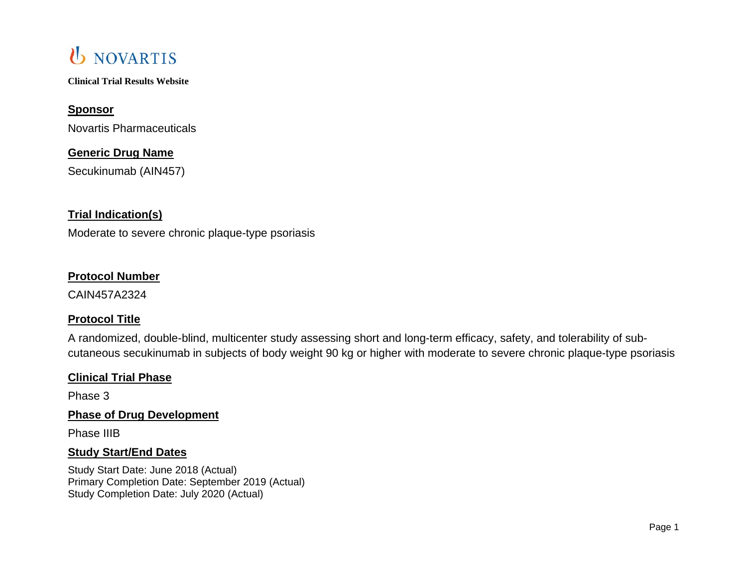**Clinical Trial Results Website**

## **Sponsor**

Novartis Pharmaceuticals

## **Generic Drug Name**

Secukinumab (AIN457)

## **Trial Indication(s)**

Moderate to severe chronic plaque-type psoriasis

## **Protocol Number**

CAIN457A2324

## **Protocol Title**

A randomized, double-blind, multicenter study assessing short and long-term efficacy, safety, and tolerability of subcutaneous secukinumab in subjects of body weight 90 kg or higher with moderate to severe chronic plaque-type psoriasis

## **Clinical Trial Phase**

Phase 3

## **Phase of Drug Development**

Phase IIIB

## **Study Start/End Dates**

Study Start Date: June 2018 (Actual) Primary Completion Date: September 2019 (Actual) Study Completion Date: July 2020 (Actual)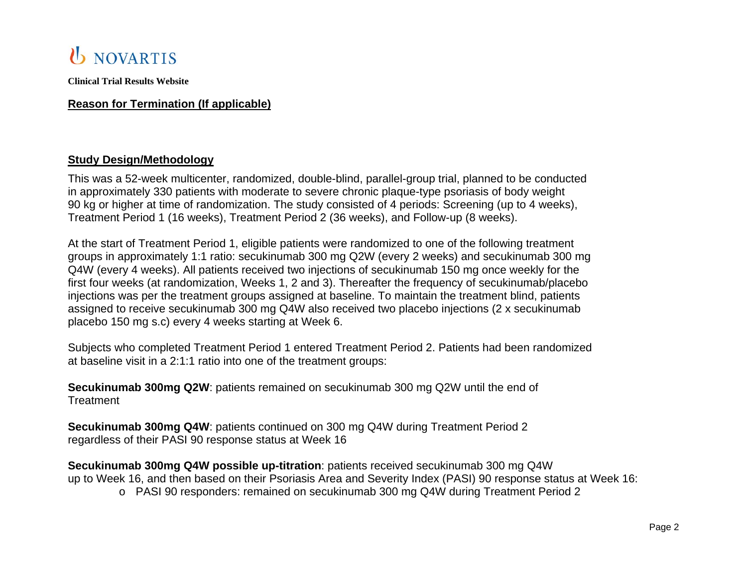

### **Reason for Termination (If applicable)**

### **Study Design/Methodology**

This was a 52-week multicenter, randomized, double-blind, parallel-group trial, planned to be conducted in approximately 330 patients with moderate to severe chronic plaque-type psoriasis of body weight 90 kg or higher at time of randomization. The study consisted of 4 periods: Screening (up to 4 weeks), Treatment Period 1 (16 weeks), Treatment Period 2 (36 weeks), and Follow-up (8 weeks).

At the start of Treatment Period 1, eligible patients were randomized to one of the following treatment groups in approximately 1:1 ratio: secukinumab 300 mg Q2W (every 2 weeks) and secukinumab 300 mg Q4W (every 4 weeks). All patients received two injections of secukinumab 150 mg once weekly for the first four weeks (at randomization, Weeks 1, 2 and 3). Thereafter the frequency of secukinumab/placebo injections was per the treatment groups assigned at baseline. To maintain the treatment blind, patients assigned to receive secukinumab 300 mg Q4W also received two placebo injections (2 x secukinumab placebo 150 mg s.c) every 4 weeks starting at Week 6.

Subjects who completed Treatment Period 1 entered Treatment Period 2. Patients had been randomized at baseline visit in a 2:1:1 ratio into one of the treatment groups:

**Secukinumab 300mg Q2W**: patients remained on secukinumab 300 mg Q2W until the end of **Treatment** 

**Secukinumab 300mg Q4W**: patients continued on 300 mg Q4W during Treatment Period 2 regardless of their PASI 90 response status at Week 16

**Secukinumab 300mg Q4W possible up-titration**: patients received secukinumab 300 mg Q4W up to Week 16, and then based on their Psoriasis Area and Severity Index (PASI) 90 response status at Week 16:

o PASI 90 responders: remained on secukinumab 300 mg Q4W during Treatment Period 2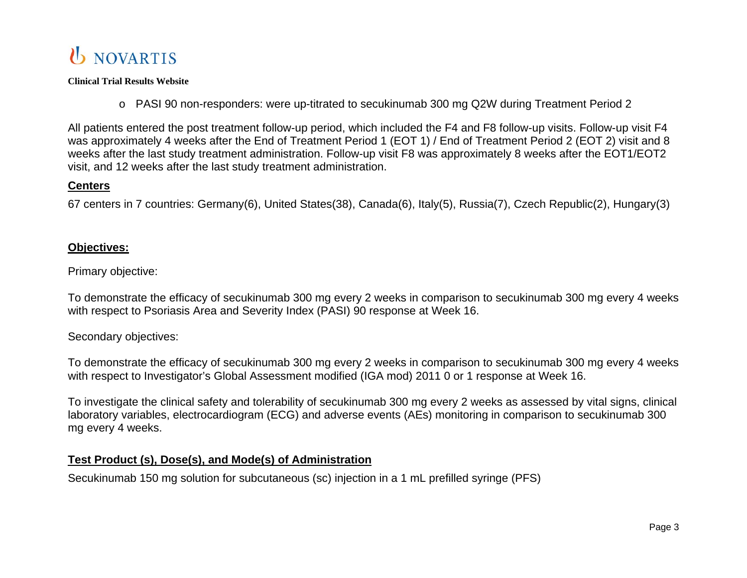

o PASI 90 non-responders: were up-titrated to secukinumab 300 mg Q2W during Treatment Period 2

All patients entered the post treatment follow-up period, which included the F4 and F8 follow-up visits. Follow-up visit F4 was approximately 4 weeks after the End of Treatment Period 1 (EOT 1) / End of Treatment Period 2 (EOT 2) visit and 8 weeks after the last study treatment administration. Follow-up visit F8 was approximately 8 weeks after the EOT1/EOT2 visit, and 12 weeks after the last study treatment administration.

## **Centers**

67 centers in 7 countries: Germany(6), United States(38), Canada(6), Italy(5), Russia(7), Czech Republic(2), Hungary(3)

## **Objectives:**

Primary objective:

To demonstrate the efficacy of secukinumab 300 mg every 2 weeks in comparison to secukinumab 300 mg every 4 weeks with respect to Psoriasis Area and Severity Index (PASI) 90 response at Week 16.

## Secondary objectives:

To demonstrate the efficacy of secukinumab 300 mg every 2 weeks in comparison to secukinumab 300 mg every 4 weeks with respect to Investigator's Global Assessment modified (IGA mod) 2011 0 or 1 response at Week 16.

To investigate the clinical safety and tolerability of secukinumab 300 mg every 2 weeks as assessed by vital signs, clinical laboratory variables, electrocardiogram (ECG) and adverse events (AEs) monitoring in comparison to secukinumab 300 mg every 4 weeks.

## **Test Product (s), Dose(s), and Mode(s) of Administration**

Secukinumab 150 mg solution for subcutaneous (sc) injection in a 1 mL prefilled syringe (PFS)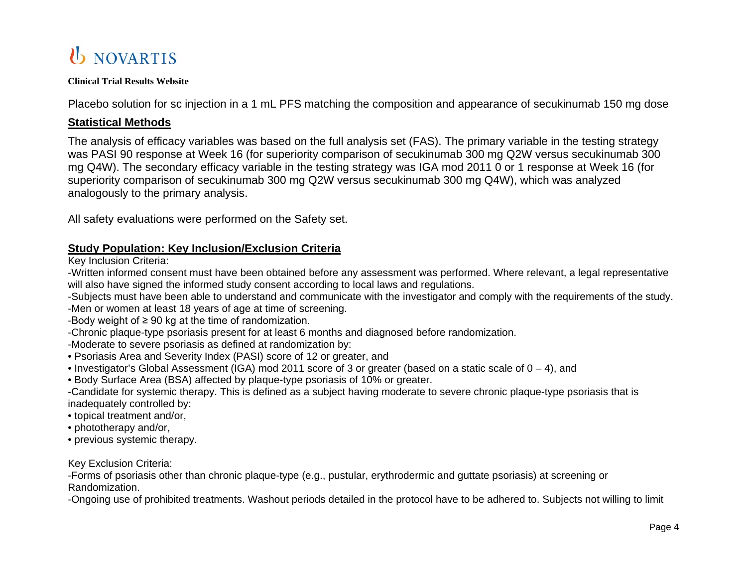#### **Clinical Trial Results Website**

Placebo solution for sc injection in a 1 mL PFS matching the composition and appearance of secukinumab 150 mg dose

### **Statistical Methods**

The analysis of efficacy variables was based on the full analysis set (FAS). The primary variable in the testing strategy was PASI 90 response at Week 16 (for superiority comparison of secukinumab 300 mg Q2W versus secukinumab 300 mg Q4W). The secondary efficacy variable in the testing strategy was IGA mod 2011 0 or 1 response at Week 16 (for superiority comparison of secukinumab 300 mg Q2W versus secukinumab 300 mg Q4W), which was analyzed analogously to the primary analysis.

All safety evaluations were performed on the Safety set.

## **Study Population: Key Inclusion/Exclusion Criteria**

Key Inclusion Criteria:

-Written informed consent must have been obtained before any assessment was performed. Where relevant, a legal representative will also have signed the informed study consent according to local laws and regulations.

- -Subjects must have been able to understand and communicate with the investigator and comply with the requirements of the study.
- -Men or women at least 18 years of age at time of screening.

-Body weight of  $\geq 90$  kg at the time of randomization.

-Chronic plaque-type psoriasis present for at least 6 months and diagnosed before randomization.

-Moderate to severe psoriasis as defined at randomization by:

- Psoriasis Area and Severity Index (PASI) score of 12 or greater, and
- Investigator's Global Assessment (IGA) mod 2011 score of 3 or greater (based on a static scale of 0 4), and
- Body Surface Area (BSA) affected by plaque-type psoriasis of 10% or greater.
- -Candidate for systemic therapy. This is defined as a subject having moderate to severe chronic plaque-type psoriasis that is inadequately controlled by:
- topical treatment and/or,
- phototherapy and/or,
- previous systemic therapy.

### Key Exclusion Criteria:

-Forms of psoriasis other than chronic plaque-type (e.g., pustular, erythrodermic and guttate psoriasis) at screening or Randomization.

-Ongoing use of prohibited treatments. Washout periods detailed in the protocol have to be adhered to. Subjects not willing to limit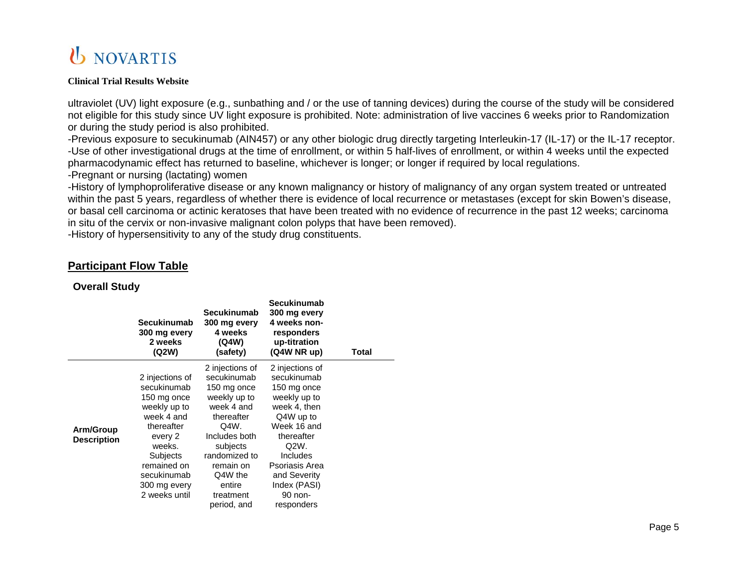#### **Clinical Trial Results Website**

ultraviolet (UV) light exposure (e.g., sunbathing and / or the use of tanning devices) during the course of the study will be considered not eligible for this study since UV light exposure is prohibited. Note: administration of live vaccines 6 weeks prior to Randomization or during the study period is also prohibited.

-Previous exposure to secukinumab (AIN457) or any other biologic drug directly targeting Interleukin-17 (IL-17) or the IL-17 receptor. -Use of other investigational drugs at the time of enrollment, or within 5 half-lives of enrollment, or within 4 weeks until the expected pharmacodynamic effect has returned to baseline, whichever is longer; or longer if required by local regulations. -Pregnant or nursing (lactating) women

-History of lymphoproliferative disease or any known malignancy or history of malignancy of any organ system treated or untreated within the past 5 years, regardless of whether there is evidence of local recurrence or metastases (except for skin Bowen's disease, or basal cell carcinoma or actinic keratoses that have been treated with no evidence of recurrence in the past 12 weeks; carcinoma in situ of the cervix or non-invasive malignant colon polyps that have been removed).

-History of hypersensitivity to any of the study drug constituents.

## **Participant Flow Table**

### **Overall Study**

|                    | <b>Secukinumab</b><br>300 mg every<br>2 weeks<br>(Q2W) | <b>Secukinumab</b><br>300 mg every<br>4 weeks<br>(Q4W)<br>(safety) | Secukinumab<br>300 mg every<br>4 weeks non-<br>responders<br>up-titration<br>(Q4W NR up) | Total |
|--------------------|--------------------------------------------------------|--------------------------------------------------------------------|------------------------------------------------------------------------------------------|-------|
|                    |                                                        | 2 injections of                                                    | 2 injections of                                                                          |       |
|                    | 2 injections of                                        | secukinumab                                                        | secukinumab                                                                              |       |
|                    | secukinumab                                            | 150 mg once                                                        | 150 mg once                                                                              |       |
|                    | 150 mg once                                            | weekly up to                                                       | weekly up to                                                                             |       |
|                    | weekly up to                                           | week 4 and                                                         | week 4, then                                                                             |       |
|                    | week 4 and                                             | thereafter                                                         | Q4W up to                                                                                |       |
| Arm/Group          | thereafter                                             | Q4W.                                                               | Week 16 and                                                                              |       |
| <b>Description</b> | every 2                                                | Includes both                                                      | thereafter                                                                               |       |
|                    | weeks.                                                 | subjects                                                           | Q2W.                                                                                     |       |
|                    | Subjects                                               | randomized to                                                      | <b>Includes</b>                                                                          |       |
|                    | remained on                                            | remain on                                                          | Psoriasis Area                                                                           |       |
|                    | secukinumab                                            | Q4W the                                                            | and Severity                                                                             |       |
|                    | 300 mg every                                           | entire                                                             | Index (PASI)                                                                             |       |
|                    | 2 weeks until                                          | treatment                                                          | 90 non-                                                                                  |       |
|                    |                                                        | period, and                                                        | responders                                                                               |       |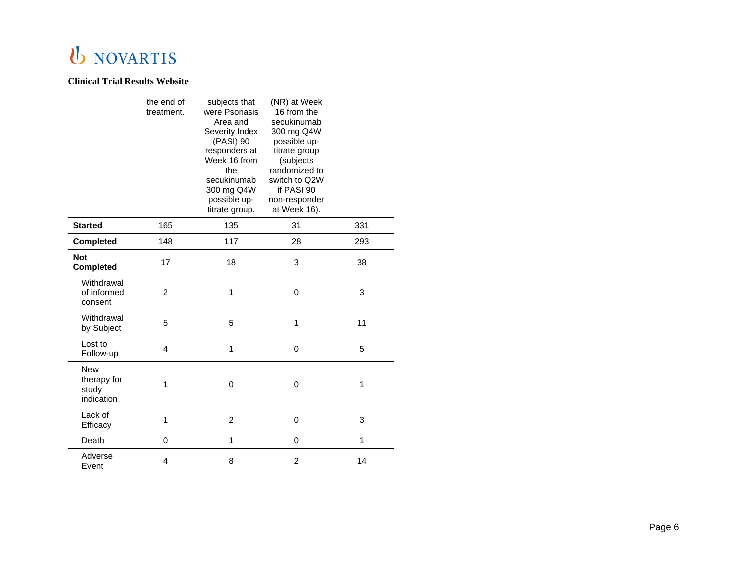|                                                  | the end of<br>treatment. | subjects that<br>were Psoriasis<br>Area and<br>Severity Index<br>(PASI) 90<br>responders at<br>Week 16 from<br>the<br>secukinumab<br>300 mg Q4W<br>possible up-<br>titrate group. | (NR) at Week<br>16 from the<br>secukinumab<br>300 mg Q4W<br>possible up-<br>titrate group<br>(subjects<br>randomized to<br>switch to Q2W<br>if PASI 90<br>non-responder<br>at Week 16). |     |
|--------------------------------------------------|--------------------------|-----------------------------------------------------------------------------------------------------------------------------------------------------------------------------------|-----------------------------------------------------------------------------------------------------------------------------------------------------------------------------------------|-----|
| <b>Started</b>                                   | 165                      | 135                                                                                                                                                                               | 31                                                                                                                                                                                      | 331 |
| <b>Completed</b>                                 | 148                      | 117                                                                                                                                                                               | 28                                                                                                                                                                                      | 293 |
| <b>Not</b><br><b>Completed</b>                   | 17                       | 18                                                                                                                                                                                | 3                                                                                                                                                                                       | 38  |
| Withdrawal<br>of informed<br>consent             | $\overline{c}$           | 1                                                                                                                                                                                 | $\mathbf 0$                                                                                                                                                                             | 3   |
| Withdrawal<br>by Subject                         | 5                        | 5                                                                                                                                                                                 | 1                                                                                                                                                                                       | 11  |
| Lost to<br>Follow-up                             | 4                        | 1                                                                                                                                                                                 | $\mathbf 0$                                                                                                                                                                             | 5   |
| <b>New</b><br>therapy for<br>study<br>indication | 1                        | 0                                                                                                                                                                                 | 0                                                                                                                                                                                       | 1   |
| Lack of<br>Efficacy                              | 1                        | $\overline{2}$                                                                                                                                                                    | $\mathbf 0$                                                                                                                                                                             | 3   |
| Death                                            | 0                        | 1                                                                                                                                                                                 | $\mathbf 0$                                                                                                                                                                             | 1   |
| Adverse<br>Event                                 | 4                        | 8                                                                                                                                                                                 | $\overline{c}$                                                                                                                                                                          | 14  |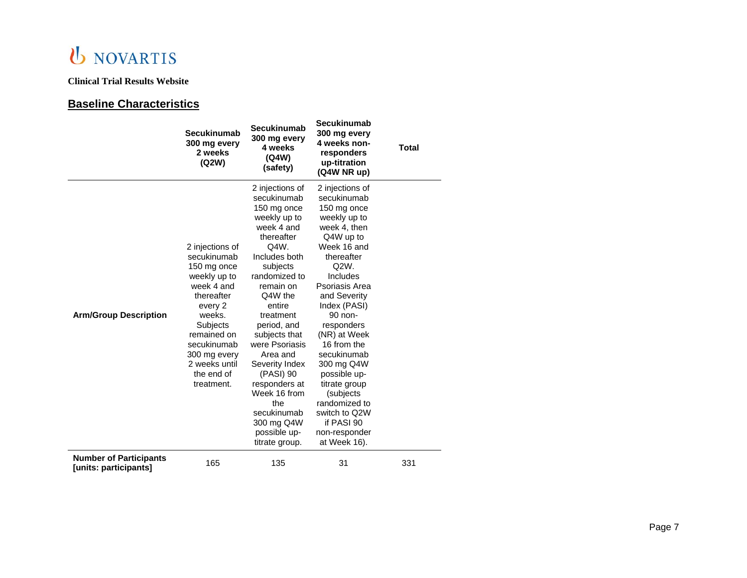### **Clinical Trial Results Website**

## **Baseline Characteristics**

|                                                        | Secukinumab<br>300 mg every<br>2 weeks<br>(Q2W)                                                                                                                                                                       | <b>Secukinumab</b><br>300 mg every<br>4 weeks<br>(Q4W)<br>(safety)                                                                                                                                                                                                                                                                                                                                 | <b>Secukinumab</b><br>300 mg every<br>4 weeks non-<br>responders<br>up-titration<br>(Q4W NR up)                                                                                                                                                                                                                                                                                                                   | <b>Total</b> |
|--------------------------------------------------------|-----------------------------------------------------------------------------------------------------------------------------------------------------------------------------------------------------------------------|----------------------------------------------------------------------------------------------------------------------------------------------------------------------------------------------------------------------------------------------------------------------------------------------------------------------------------------------------------------------------------------------------|-------------------------------------------------------------------------------------------------------------------------------------------------------------------------------------------------------------------------------------------------------------------------------------------------------------------------------------------------------------------------------------------------------------------|--------------|
| <b>Arm/Group Description</b>                           | 2 injections of<br>secukinumab<br>150 mg once<br>weekly up to<br>week 4 and<br>thereafter<br>every 2<br>weeks.<br>Subjects<br>remained on<br>secukinumab<br>300 mg every<br>2 weeks until<br>the end of<br>treatment. | 2 injections of<br>secukinumab<br>150 mg once<br>weekly up to<br>week 4 and<br>thereafter<br>Q4W.<br>Includes both<br>subjects<br>randomized to<br>remain on<br>Q4W the<br>entire<br>treatment<br>period, and<br>subjects that<br>were Psoriasis<br>Area and<br>Severity Index<br>(PASI) 90<br>responders at<br>Week 16 from<br>the<br>secukinumab<br>300 mg Q4W<br>possible up-<br>titrate group. | 2 injections of<br>secukinumab<br>150 mg once<br>weekly up to<br>week 4, then<br>Q4W up to<br>Week 16 and<br>thereafter<br>Q2W.<br>Includes<br>Psoriasis Area<br>and Severity<br>Index (PASI)<br>90 non-<br>responders<br>(NR) at Week<br>16 from the<br>secukinumab<br>300 mg Q4W<br>possible up-<br>titrate group<br>(subjects<br>randomized to<br>switch to Q2W<br>if PASI 90<br>non-responder<br>at Week 16). |              |
| <b>Number of Participants</b><br>[units: participants] | 165                                                                                                                                                                                                                   | 135                                                                                                                                                                                                                                                                                                                                                                                                | 31                                                                                                                                                                                                                                                                                                                                                                                                                | 331          |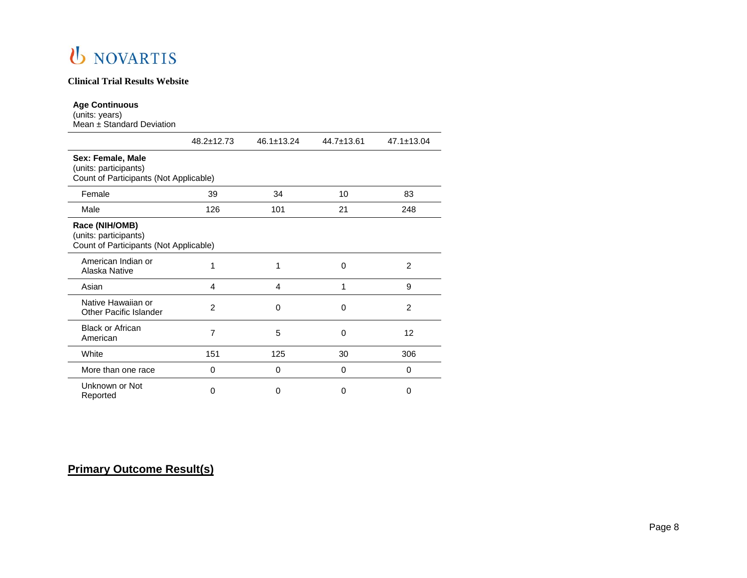### **Clinical Trial Results Website**

#### **Age Continuous**

(units: years) Mean ± Standard Deviation

|                                                                                      | $48.2 \pm 12.73$ | $46.1 \pm 13.24$ | $44.7 \pm 13.61$ | $47.1 \pm 13.04$ |
|--------------------------------------------------------------------------------------|------------------|------------------|------------------|------------------|
| Sex: Female, Male<br>(units: participants)<br>Count of Participants (Not Applicable) |                  |                  |                  |                  |
| Female                                                                               | 39               | 34               | 10               | 83               |
| Male                                                                                 | 126              | 101              | 21               | 248              |
| Race (NIH/OMB)<br>(units: participants)<br>Count of Participants (Not Applicable)    |                  |                  |                  |                  |
| American Indian or<br>Alaska Native                                                  | 1                | 1                | $\Omega$         | 2                |
| Asian                                                                                | 4                | 4                | 1                | 9                |
| Native Hawaiian or<br><b>Other Pacific Islander</b>                                  | $\overline{2}$   | $\Omega$         | $\Omega$         | 2                |
| <b>Black or African</b><br>American                                                  | 7                | 5                | 0                | 12               |
| White                                                                                | 151              | 125              | 30               | 306              |
| More than one race                                                                   | 0                | 0                | 0                | 0                |
| Unknown or Not<br>Reported                                                           | 0                | Ω                | 0                | 0                |

## **Primary Outcome Result(s)**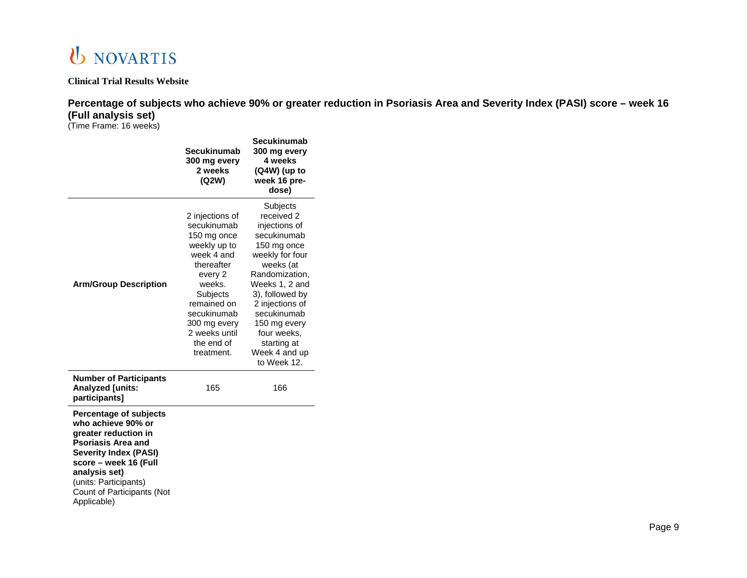

**Percentage of subjects who achieve 90% or greater reduction in Psoriasis Area and Severity Index (PASI) score – week 16 (Full analysis set)**

(Time Frame: 16 weeks)

|                                                                                                                                                                                                                                                          | Secukinumab<br>300 mg every<br>2 weeks<br>(Q2W)                                                                                                                                                                       | Secukinumab<br>300 mg every<br>4 weeks<br>$(Q4W)$ (up to<br>week 16 pre-<br>dose)                                                                                                                                                                                            |
|----------------------------------------------------------------------------------------------------------------------------------------------------------------------------------------------------------------------------------------------------------|-----------------------------------------------------------------------------------------------------------------------------------------------------------------------------------------------------------------------|------------------------------------------------------------------------------------------------------------------------------------------------------------------------------------------------------------------------------------------------------------------------------|
| <b>Arm/Group Description</b>                                                                                                                                                                                                                             | 2 injections of<br>secukinumab<br>150 mg once<br>weekly up to<br>week 4 and<br>thereafter<br>every 2<br>weeks.<br>Subjects<br>remained on<br>secukinumab<br>300 mg every<br>2 weeks until<br>the end of<br>treatment. | Subjects<br>received 2<br>injections of<br>secukinumab<br>150 mg once<br>weekly for four<br>weeks (at<br>Randomization,<br>Weeks 1, 2 and<br>3), followed by<br>2 injections of<br>secukinumab<br>150 mg every<br>four weeks,<br>starting at<br>Week 4 and up<br>to Week 12. |
| <b>Number of Participants</b><br>Analyzed [units:<br>participants]                                                                                                                                                                                       | 165                                                                                                                                                                                                                   | 166                                                                                                                                                                                                                                                                          |
| <b>Percentage of subjects</b><br>who achieve 90% or<br>greater reduction in<br><b>Psoriasis Area and</b><br><b>Severity Index (PASI)</b><br>score - week 16 (Full<br>analysis set)<br>(units: Participants)<br>Count of Participants (Not<br>Applicable) |                                                                                                                                                                                                                       |                                                                                                                                                                                                                                                                              |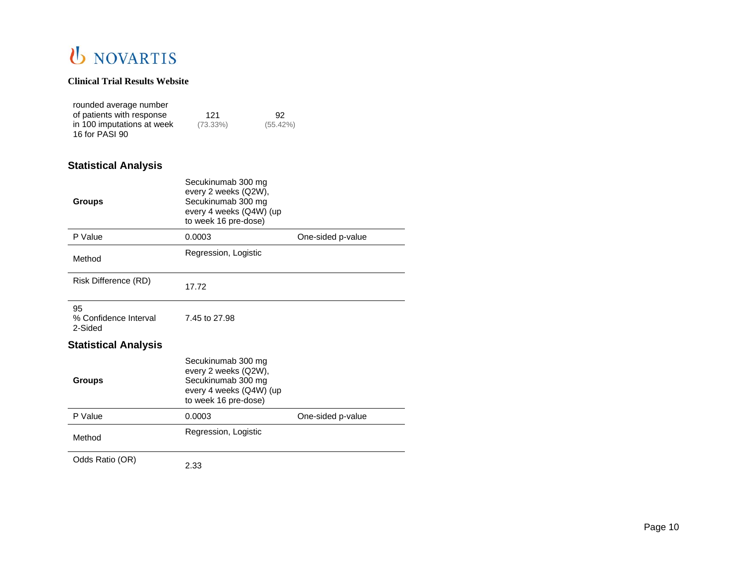### **Clinical Trial Results Website**

| rounded average number     |             |             |
|----------------------------|-------------|-------------|
| of patients with response  | 121         | 92.         |
| in 100 imputations at week | $(73.33\%)$ | $(55.42\%)$ |
| 16 for PASI 90             |             |             |

## **Statistical Analysis**

| <b>Groups</b>                          | Secukinumab 300 mg<br>every 2 weeks (Q2W),<br>Secukinumab 300 mg<br>every 4 weeks (Q4W) (up<br>to week 16 pre-dose) |                   |
|----------------------------------------|---------------------------------------------------------------------------------------------------------------------|-------------------|
| P Value                                | 0.0003                                                                                                              | One-sided p-value |
| Method                                 | Regression, Logistic                                                                                                |                   |
| Risk Difference (RD)                   | 17.72                                                                                                               |                   |
| 95<br>% Confidence Interval<br>2-Sided | 7.45 to 27.98                                                                                                       |                   |
| <b>Statistical Analysis</b>            |                                                                                                                     |                   |
| <b>Groups</b>                          | Secukinumab 300 mg<br>every 2 weeks (Q2W),<br>Secukinumab 300 mg<br>every 4 weeks (Q4W) (up<br>to week 16 pre-dose) |                   |
| P Value                                | 0.0003                                                                                                              | One-sided p-value |
| Method                                 | Regression, Logistic                                                                                                |                   |
| Odds Ratio (OR)                        | 2.33                                                                                                                |                   |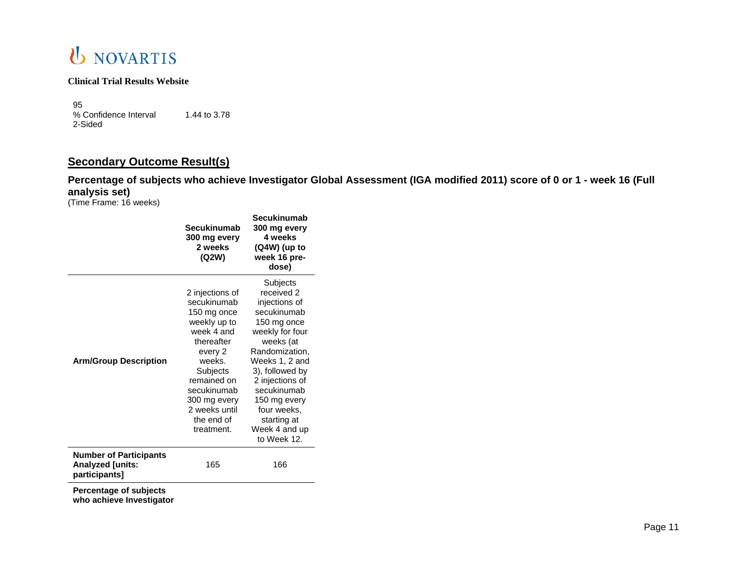

95 % Confidence Interval 1.44 to 3.78 2-Sided

## **Secondary Outcome Result(s)**

**Percentage of subjects who achieve Investigator Global Assessment (IGA modified 2011) score of 0 or 1 - week 16 (Full analysis set)**

(Time Frame: 16 weeks)

|                                                                    | Secukinumab<br>300 mg every<br>2 weeks<br>(Q2W)                                                                                                                                                                       | Secukinumab<br>300 mg every<br>4 weeks<br>$(Q4W)$ (up to<br>week 16 pre-<br>dose)                                                                                                                                                                                            |
|--------------------------------------------------------------------|-----------------------------------------------------------------------------------------------------------------------------------------------------------------------------------------------------------------------|------------------------------------------------------------------------------------------------------------------------------------------------------------------------------------------------------------------------------------------------------------------------------|
| <b>Arm/Group Description</b>                                       | 2 injections of<br>secukinumab<br>150 mg once<br>weekly up to<br>week 4 and<br>thereafter<br>every 2<br>weeks.<br>Subjects<br>remained on<br>secukinumab<br>300 mg every<br>2 weeks until<br>the end of<br>treatment. | Subjects<br>received 2<br>injections of<br>secukinumab<br>150 mg once<br>weekly for four<br>weeks (at<br>Randomization,<br>Weeks 1, 2 and<br>3), followed by<br>2 injections of<br>secukinumab<br>150 mg every<br>four weeks,<br>starting at<br>Week 4 and up<br>to Week 12. |
| <b>Number of Participants</b><br>Analyzed [units:<br>participants] | 165                                                                                                                                                                                                                   | 166                                                                                                                                                                                                                                                                          |
| Percentage of subjects<br>who achieve Investigator                 |                                                                                                                                                                                                                       |                                                                                                                                                                                                                                                                              |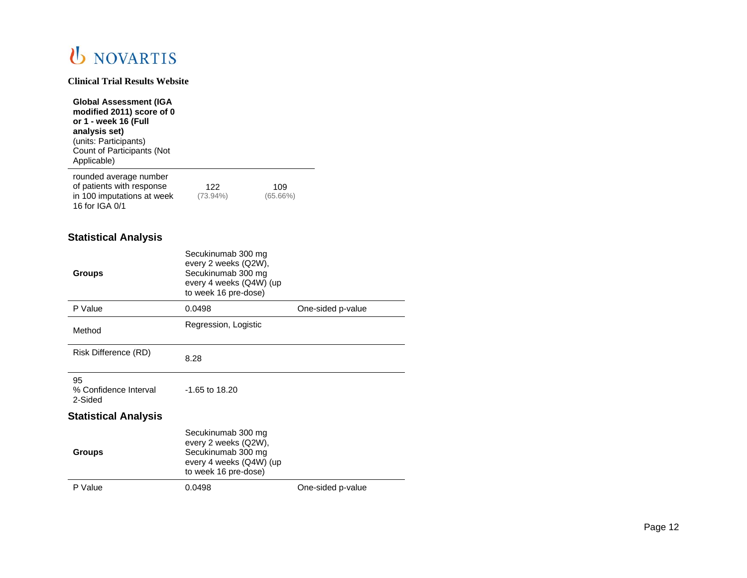**Clinical Trial Results Website**

| <b>Global Assessment (IGA</b><br>modified 2011) score of 0<br>or 1 - week 16 (Full<br>analysis set)<br>(units: Participants)<br>Count of Participants (Not<br>Applicable) |                    |                    |
|---------------------------------------------------------------------------------------------------------------------------------------------------------------------------|--------------------|--------------------|
| rounded average number<br>of patients with response<br>in 100 imputations at week<br>16 for IGA 0/1                                                                       | 122<br>$(73.94\%)$ | 109<br>$(65.66\%)$ |
| Ctatiotical Analycic                                                                                                                                                      |                    |                    |

#### **Statistical Analysis**

| <b>Groups</b>                          | Secukinumab 300 mg<br>every 2 weeks (Q2W),<br>Secukinumab 300 mg<br>every 4 weeks (Q4W) (up<br>to week 16 pre-dose) |                   |
|----------------------------------------|---------------------------------------------------------------------------------------------------------------------|-------------------|
| P Value                                | 0.0498                                                                                                              | One-sided p-value |
| Method                                 | Regression, Logistic                                                                                                |                   |
| Risk Difference (RD)                   | 8.28                                                                                                                |                   |
| 95<br>% Confidence Interval<br>2-Sided | $-1.65$ to 18.20                                                                                                    |                   |
| <b>Statistical Analysis</b>            |                                                                                                                     |                   |
| <b>Groups</b>                          | Secukinumab 300 mg<br>every 2 weeks (Q2W),<br>Secukinumab 300 mg<br>every 4 weeks (Q4W) (up<br>to week 16 pre-dose) |                   |
| P Value                                | 0.0498                                                                                                              | One-sided p-value |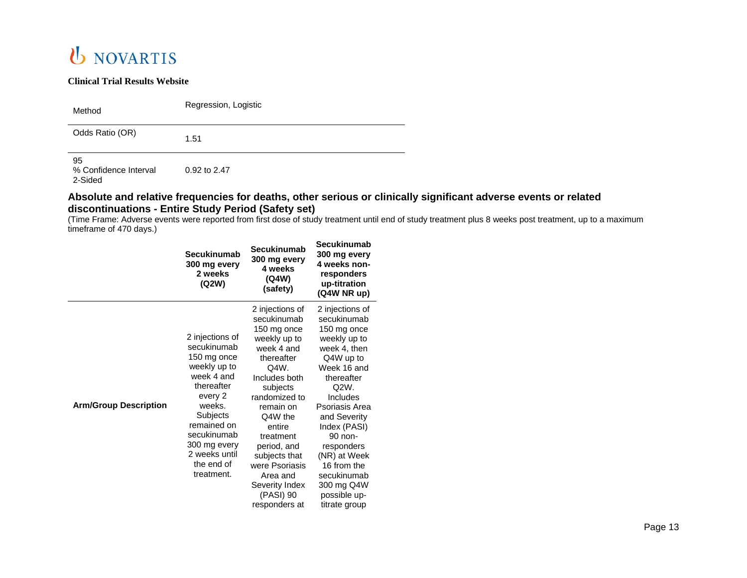#### **Clinical Trial Results Website**

| Method | Regression, Logistic |
|--------|----------------------|
|        |                      |

Odds Ratio (OR) 1.51

95

% Confidence Interval 0.92 to 2.47

2-Sided

### **Absolute and relative frequencies for deaths, other serious or clinically significant adverse events or related discontinuations - Entire Study Period (Safety set)**

(Time Frame: Adverse events were reported from first dose of study treatment until end of study treatment plus 8 weeks post treatment, up to a maximum timeframe of 470 days.)

|                              | <b>Secukinumab</b><br>300 mg every<br>2 weeks<br>(Q2W)                                                                                                                                                                | Secukinumab<br>300 mg every<br>4 weeks<br>(Q4W)<br>(safety)                                                                                                                                                                                                                                                  | <b>Secukinumab</b><br>300 mg every<br>4 weeks non-<br>responders<br>up-titration<br>(Q4W NR up)                                                                                                                                                                                                                     |
|------------------------------|-----------------------------------------------------------------------------------------------------------------------------------------------------------------------------------------------------------------------|--------------------------------------------------------------------------------------------------------------------------------------------------------------------------------------------------------------------------------------------------------------------------------------------------------------|---------------------------------------------------------------------------------------------------------------------------------------------------------------------------------------------------------------------------------------------------------------------------------------------------------------------|
| <b>Arm/Group Description</b> | 2 injections of<br>secukinumab<br>150 mg once<br>weekly up to<br>week 4 and<br>thereafter<br>every 2<br>weeks.<br>Subjects<br>remained on<br>secukinumab<br>300 mg every<br>2 weeks until<br>the end of<br>treatment. | 2 injections of<br>secukinumab<br>150 mg once<br>weekly up to<br>week 4 and<br>thereafter<br>Q4W.<br>Includes both<br>subjects<br>randomized to<br>remain on<br>Q4W the<br>entire<br>treatment<br>period, and<br>subjects that<br>were Psoriasis<br>Area and<br>Severity Index<br>(PASI) 90<br>responders at | 2 injections of<br>secukinumab<br>150 mg once<br>weekly up to<br>week 4, then<br>Q4W up to<br>Week 16 and<br>thereafter<br>Q2W.<br>Includes<br>Psoriasis Area<br>and Severity<br>Index (PASI)<br>90 non-<br>responders<br>(NR) at Week<br>16 from the<br>secukinumab<br>300 mg Q4W<br>possible up-<br>titrate group |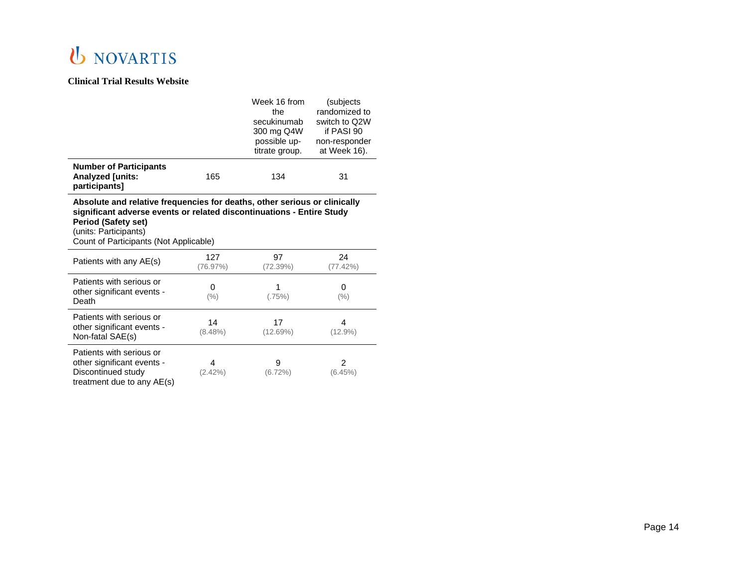|                                                                                                                                                                                                                                                     |                  | Week 16 from<br>the<br>secukinumab<br>300 mg Q4W<br>possible up-<br>titrate group. | (subjects<br>randomized to<br>switch to Q2W<br>if PASI 90<br>non-responder<br>at Week 16). |  |  |
|-----------------------------------------------------------------------------------------------------------------------------------------------------------------------------------------------------------------------------------------------------|------------------|------------------------------------------------------------------------------------|--------------------------------------------------------------------------------------------|--|--|
| <b>Number of Participants</b><br>Analyzed [units:<br>participants]                                                                                                                                                                                  | 165              | 134                                                                                | 31                                                                                         |  |  |
| Absolute and relative frequencies for deaths, other serious or clinically<br>significant adverse events or related discontinuations - Entire Study<br><b>Period (Safety set)</b><br>(units: Participants)<br>Count of Participants (Not Applicable) |                  |                                                                                    |                                                                                            |  |  |
| Patients with any AE(s)                                                                                                                                                                                                                             | 127<br>(76.97%)  | 97<br>(72.39%)                                                                     | 24<br>(77.42%)                                                                             |  |  |
| Patients with serious or<br>other significant events -<br>Death                                                                                                                                                                                     | $\Omega$<br>(% ) | 1<br>(.75%)                                                                        | 0<br>(% )                                                                                  |  |  |
| Patients with serious or<br>other significant events -<br>Non-fatal SAE(s)                                                                                                                                                                          | 14<br>$(8.48\%)$ | 17<br>(12.69%)                                                                     | 4<br>$(12.9\%)$                                                                            |  |  |
| Patients with serious or<br>other significant events -<br>Discontinued study<br>treatment due to any AE(s)                                                                                                                                          | 4<br>(2.42%)     | 9<br>$(6.72\%)$                                                                    | $\overline{2}$<br>(6.45%)                                                                  |  |  |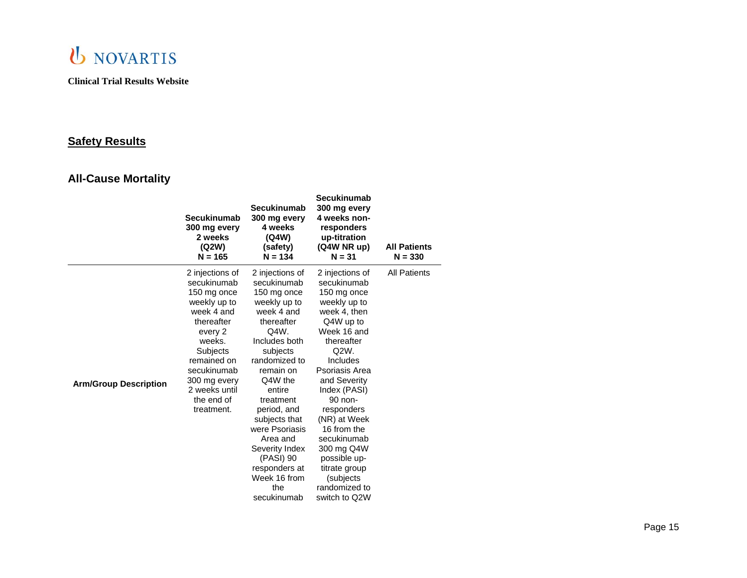

## **Safety Results**

## **All -Cause Mortality**

|                              | <b>Secukinumab</b><br>300 mg every<br>2 weeks<br>(Q2W)<br>$N = 165$                                                                                                                                                          | Secukinumab<br>300 mg every<br>4 weeks<br>(Q4W)<br>(safety)<br>$N = 134$                                                                                                                                                                                                                                                                           | Secukinumab<br>300 mg every<br>4 weeks non-<br>responders<br>up-titration<br>(Q4W NR up)<br>$N = 31$                                                                                                                                                                                                                                                               | <b>All Patients</b><br>$N = 330$ |
|------------------------------|------------------------------------------------------------------------------------------------------------------------------------------------------------------------------------------------------------------------------|----------------------------------------------------------------------------------------------------------------------------------------------------------------------------------------------------------------------------------------------------------------------------------------------------------------------------------------------------|--------------------------------------------------------------------------------------------------------------------------------------------------------------------------------------------------------------------------------------------------------------------------------------------------------------------------------------------------------------------|----------------------------------|
| <b>Arm/Group Description</b> | 2 injections of<br>secukinumab<br>150 mg once<br>weekly up to<br>week 4 and<br>thereafter<br>every 2<br>weeks.<br><b>Subjects</b><br>remained on<br>secukinumab<br>300 mg every<br>2 weeks until<br>the end of<br>treatment. | 2 injections of<br>secukinumab<br>150 mg once<br>weekly up to<br>week 4 and<br>thereafter<br>Q4W.<br>Includes both<br>subjects<br>randomized to<br>remain on<br>Q4W the<br>entire<br>treatment<br>period, and<br>subjects that<br>were Psoriasis<br>Area and<br>Severity Index<br>(PASI) 90<br>responders at<br>Week 16 from<br>the<br>secukinumab | 2 injections of<br>secukinumab<br>150 mg once<br>weekly up to<br>week 4, then<br>Q4W up to<br>Week 16 and<br>thereafter<br>Q2W.<br>Includes<br>Psoriasis Area<br>and Severity<br>Index (PASI)<br>90 non-<br>responders<br>(NR) at Week<br>16 from the<br>secukinumab<br>300 mg Q4W<br>possible up-<br>titrate group<br>(subjects<br>randomized to<br>switch to Q2W | <b>All Patients</b>              |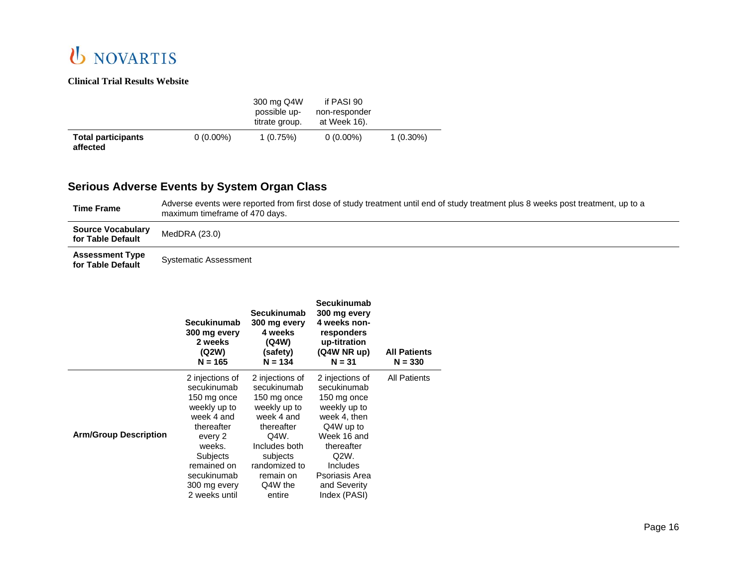### **Clinical Trial Results Website**

|                                       |             | 300 mg Q4W<br>possible up-<br>titrate group. | if PASI 90<br>non-responder<br>at Week 16). |             |
|---------------------------------------|-------------|----------------------------------------------|---------------------------------------------|-------------|
| <b>Total participants</b><br>affected | $0(0.00\%)$ | 1(0.75%)                                     | $0(0.00\%)$                                 | $1(0.30\%)$ |

## **Serious Adverse Events by System Organ Class**

| Time Frame                                    | Adverse events were reported from first dose of study treatment until end of study treatment plus 8 weeks post treatment, up to a<br>maximum timeframe of 470 days. |
|-----------------------------------------------|---------------------------------------------------------------------------------------------------------------------------------------------------------------------|
| <b>Source Vocabulary</b><br>for Table Default | MedDRA (23.0)                                                                                                                                                       |
| <b>Assessment Type</b><br>for Table Default   | <b>Systematic Assessment</b>                                                                                                                                        |

|                              | Secukinumab<br>300 mg every<br>2 weeks<br>(Q2W)<br>$N = 165$                                                                                                                                     | Secukinumab<br>300 mg every<br>4 weeks<br>(Q4W)<br>(safety)<br>$N = 134$                                                                                                          | Secukinumab<br>300 mg every<br>4 weeks non-<br>responders<br>up-titration<br>(Q4W NR up)<br>$N = 31$                                                                                          | <b>All Patients</b><br>$N = 330$ |
|------------------------------|--------------------------------------------------------------------------------------------------------------------------------------------------------------------------------------------------|-----------------------------------------------------------------------------------------------------------------------------------------------------------------------------------|-----------------------------------------------------------------------------------------------------------------------------------------------------------------------------------------------|----------------------------------|
| <b>Arm/Group Description</b> | 2 injections of<br>secukinumab<br>150 mg once<br>weekly up to<br>week 4 and<br>thereafter<br>every 2<br>weeks.<br><b>Subjects</b><br>remained on<br>secukinumab<br>300 mg every<br>2 weeks until | 2 injections of<br>secukinumab<br>150 mg once<br>weekly up to<br>week 4 and<br>thereafter<br>Q4W.<br>Includes both<br>subjects<br>randomized to<br>remain on<br>Q4W the<br>entire | 2 injections of<br>secukinumab<br>150 mg once<br>weekly up to<br>week 4, then<br>Q4W up to<br>Week 16 and<br>thereafter<br>Q2W.<br>Includes<br>Psoriasis Area<br>and Severity<br>Index (PASI) | <b>All Patients</b>              |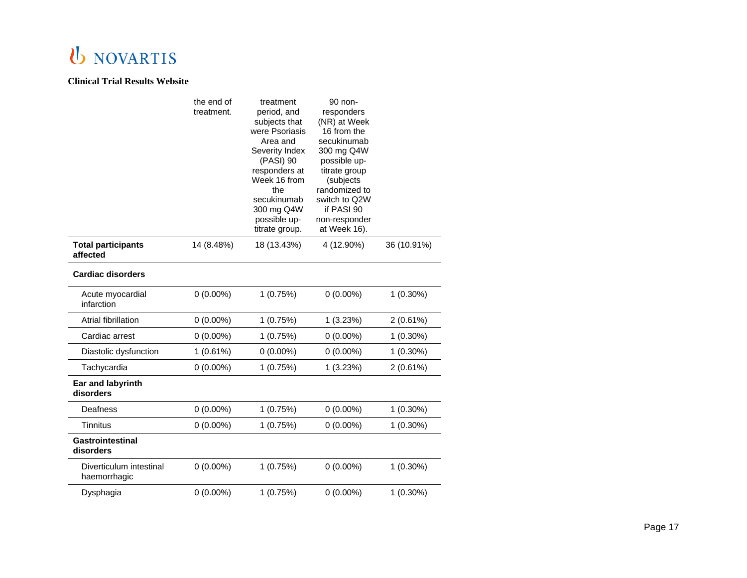|                                         | the end of<br>treatment. | treatment<br>period, and<br>subjects that<br>were Psoriasis<br>Area and<br>Severity Index<br>(PASI) 90<br>responders at<br>Week 16 from<br>the<br>secukinumab<br>300 mg Q4W<br>possible up-<br>titrate group. | 90 non-<br>responders<br>(NR) at Week<br>16 from the<br>secukinumab<br>300 mg Q4W<br>possible up-<br>titrate group<br>(subjects<br>randomized to<br>switch to Q2W<br>if PASI 90<br>non-responder<br>at Week 16). |             |
|-----------------------------------------|--------------------------|---------------------------------------------------------------------------------------------------------------------------------------------------------------------------------------------------------------|------------------------------------------------------------------------------------------------------------------------------------------------------------------------------------------------------------------|-------------|
| <b>Total participants</b><br>affected   | 14 (8.48%)               | 18 (13.43%)                                                                                                                                                                                                   | 4 (12.90%)                                                                                                                                                                                                       | 36 (10.91%) |
| <b>Cardiac disorders</b>                |                          |                                                                                                                                                                                                               |                                                                                                                                                                                                                  |             |
| Acute myocardial<br>infarction          | $0(0.00\%)$              | 1(0.75%)                                                                                                                                                                                                      | $0(0.00\%)$                                                                                                                                                                                                      | $1(0.30\%)$ |
| Atrial fibrillation                     | $0(0.00\%)$              | 1(0.75%)                                                                                                                                                                                                      | 1(3.23%)                                                                                                                                                                                                         | 2(0.61%)    |
| Cardiac arrest                          | $0(0.00\%)$              | 1(0.75%)                                                                                                                                                                                                      | $0(0.00\%)$                                                                                                                                                                                                      | $1(0.30\%)$ |
| Diastolic dysfunction                   | 1(0.61%)                 | $0(0.00\%)$                                                                                                                                                                                                   | $0(0.00\%)$                                                                                                                                                                                                      | $1(0.30\%)$ |
| Tachycardia                             | $0(0.00\%)$              | 1(0.75%)                                                                                                                                                                                                      | 1(3.23%)                                                                                                                                                                                                         | $2(0.61\%)$ |
| Ear and labyrinth<br>disorders          |                          |                                                                                                                                                                                                               |                                                                                                                                                                                                                  |             |
| Deafness                                | $0(0.00\%)$              | 1(0.75%)                                                                                                                                                                                                      | $0(0.00\%)$                                                                                                                                                                                                      | $1(0.30\%)$ |
| Tinnitus                                | $0(0.00\%)$              | 1(0.75%)                                                                                                                                                                                                      | $0(0.00\%)$                                                                                                                                                                                                      | $1(0.30\%)$ |
| Gastrointestinal<br>disorders           |                          |                                                                                                                                                                                                               |                                                                                                                                                                                                                  |             |
| Diverticulum intestinal<br>haemorrhagic | $0(0.00\%)$              | 1(0.75%)                                                                                                                                                                                                      | $0(0.00\%)$                                                                                                                                                                                                      | $1(0.30\%)$ |
| Dysphagia                               | $0(0.00\%)$              | 1(0.75%)                                                                                                                                                                                                      | $0(0.00\%)$                                                                                                                                                                                                      | 1 (0.30%)   |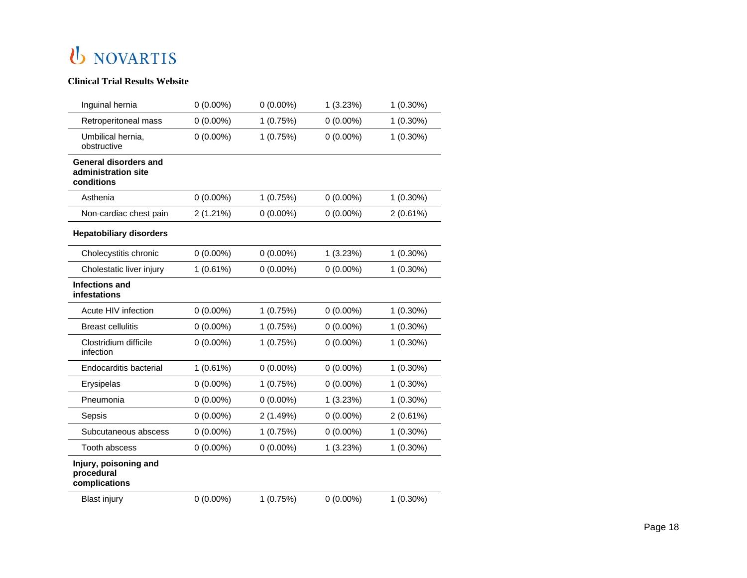| Inguinal hernia                                                   | $0(0.00\%)$ | $0(0.00\%)$ | 1(3.23%)    | $1(0.30\%)$ |
|-------------------------------------------------------------------|-------------|-------------|-------------|-------------|
| Retroperitoneal mass                                              | $0(0.00\%)$ | 1(0.75%)    | $0(0.00\%)$ | $1(0.30\%)$ |
| Umbilical hernia,<br>obstructive                                  | $0(0.00\%)$ | 1(0.75%)    | $0(0.00\%)$ | 1 (0.30%)   |
| <b>General disorders and</b><br>administration site<br>conditions |             |             |             |             |
| Asthenia                                                          | $0(0.00\%)$ | 1(0.75%)    | $0(0.00\%)$ | $1(0.30\%)$ |
| Non-cardiac chest pain                                            | 2(1.21%)    | $0(0.00\%)$ | $0(0.00\%)$ | 2(0.61%)    |
| <b>Hepatobiliary disorders</b>                                    |             |             |             |             |
| Cholecystitis chronic                                             | $0(0.00\%)$ | $0(0.00\%)$ | 1(3.23%)    | $1(0.30\%)$ |
| Cholestatic liver injury                                          | 1(0.61%)    | $0(0.00\%)$ | $0(0.00\%)$ | 1 (0.30%)   |
| <b>Infections and</b><br>infestations                             |             |             |             |             |
| Acute HIV infection                                               | $0(0.00\%)$ | 1(0.75%)    | $0(0.00\%)$ | $1(0.30\%)$ |
| <b>Breast cellulitis</b>                                          | $0(0.00\%)$ | 1(0.75%)    | $0(0.00\%)$ | $1(0.30\%)$ |
| Clostridium difficile<br>infection                                | $0(0.00\%)$ | 1(0.75%)    | $0(0.00\%)$ | 1 (0.30%)   |
| Endocarditis bacterial                                            | 1(0.61%)    | $0(0.00\%)$ | $0(0.00\%)$ | $1(0.30\%)$ |
| Erysipelas                                                        | $0(0.00\%)$ | 1(0.75%)    | $0(0.00\%)$ | $1(0.30\%)$ |
| Pneumonia                                                         | $0(0.00\%)$ | $0(0.00\%)$ | 1(3.23%)    | $1(0.30\%)$ |
| Sepsis                                                            | $0(0.00\%)$ | 2(1.49%)    | $0(0.00\%)$ | 2(0.61%)    |
| Subcutaneous abscess                                              | $0(0.00\%)$ | 1(0.75%)    | $0(0.00\%)$ | $1(0.30\%)$ |
| Tooth abscess                                                     | $0(0.00\%)$ | $0(0.00\%)$ | 1(3.23%)    | $1(0.30\%)$ |
| Injury, poisoning and<br>procedural<br>complications              |             |             |             |             |
| <b>Blast injury</b>                                               | $0(0.00\%)$ | 1(0.75%)    | $0(0.00\%)$ | $1(0.30\%)$ |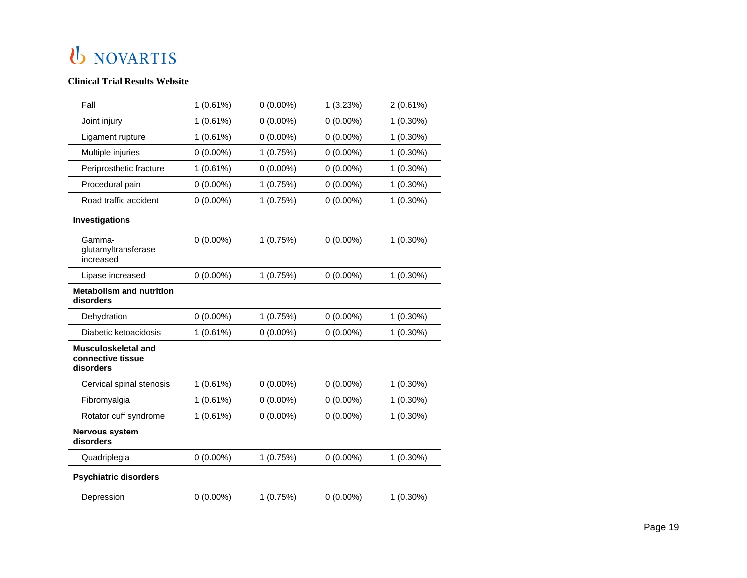| Fall                                                         | 1(0.61%)    | $0(0.00\%)$ | 1(3.23%)    | 2(0.61%)    |
|--------------------------------------------------------------|-------------|-------------|-------------|-------------|
| Joint injury                                                 | 1(0.61%)    | $0(0.00\%)$ | $0(0.00\%)$ | $1(0.30\%)$ |
| Ligament rupture                                             | 1(0.61%)    | $0(0.00\%)$ | $0(0.00\%)$ | $1(0.30\%)$ |
| Multiple injuries                                            | $0(0.00\%)$ | 1(0.75%)    | $0(0.00\%)$ | $1(0.30\%)$ |
| Periprosthetic fracture                                      | 1(0.61%)    | $0(0.00\%)$ | $0(0.00\%)$ | $1(0.30\%)$ |
| Procedural pain                                              | $0(0.00\%)$ | 1(0.75%)    | $0(0.00\%)$ | $1(0.30\%)$ |
| Road traffic accident                                        | $0(0.00\%)$ | 1(0.75%)    | $0(0.00\%)$ | $1(0.30\%)$ |
| Investigations                                               |             |             |             |             |
| Gamma-<br>glutamyltransferase<br>increased                   | $0(0.00\%)$ | 1(0.75%)    | $0(0.00\%)$ | $1(0.30\%)$ |
| Lipase increased                                             | $0(0.00\%)$ | 1(0.75%)    | $0(0.00\%)$ | $1(0.30\%)$ |
| <b>Metabolism and nutrition</b><br>disorders                 |             |             |             |             |
| Dehydration                                                  | $0(0.00\%)$ | 1(0.75%)    | $0(0.00\%)$ | $1(0.30\%)$ |
| Diabetic ketoacidosis                                        | 1(0.61%)    | $0(0.00\%)$ | $0(0.00\%)$ | $1(0.30\%)$ |
| <b>Musculoskeletal and</b><br>connective tissue<br>disorders |             |             |             |             |
| Cervical spinal stenosis                                     | 1(0.61%)    | $0(0.00\%)$ | $0(0.00\%)$ | $1(0.30\%)$ |
| Fibromyalgia                                                 | 1(0.61%)    | $0(0.00\%)$ | $0(0.00\%)$ | $1(0.30\%)$ |
| Rotator cuff syndrome                                        | 1(0.61%)    | $0(0.00\%)$ | $0(0.00\%)$ | $1(0.30\%)$ |
| Nervous system<br>disorders                                  |             |             |             |             |
| Quadriplegia                                                 | $0(0.00\%)$ | 1(0.75%)    | $0(0.00\%)$ | $1(0.30\%)$ |
| <b>Psychiatric disorders</b>                                 |             |             |             |             |
| Depression                                                   | $0(0.00\%)$ | 1(0.75%)    | $0(0.00\%)$ | $1(0.30\%)$ |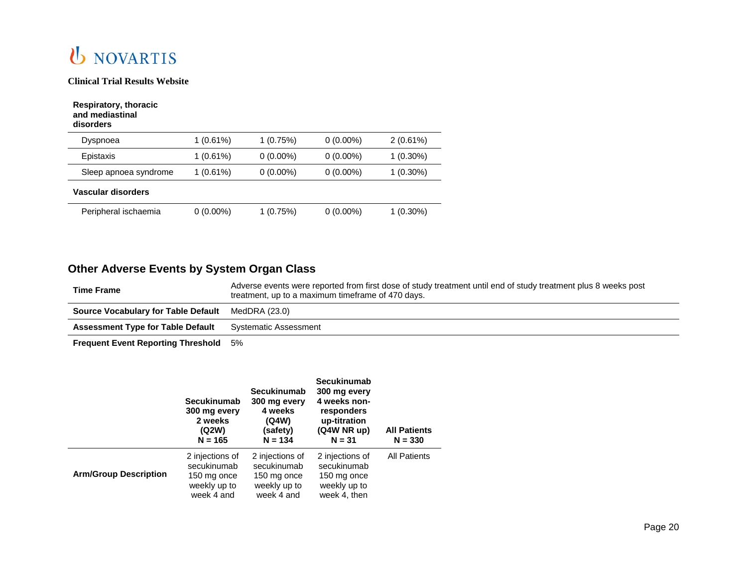

| Respiratory, thoracic<br>and mediastinal<br>disorders |             |             |             |             |
|-------------------------------------------------------|-------------|-------------|-------------|-------------|
| Dyspnoea                                              | $1(0.61\%)$ | 1(0.75%)    | $0(0.00\%)$ | $2(0.61\%)$ |
| Epistaxis                                             | $1(0.61\%)$ | $0(0.00\%)$ | $0(0.00\%)$ | $1(0.30\%)$ |
| Sleep apnoea syndrome                                 | $1(0.61\%)$ | $0(0.00\%)$ | $0(0.00\%)$ | $1(0.30\%)$ |
| Vascular disorders                                    |             |             |             |             |
| Peripheral ischaemia                                  | $0(0.00\%)$ | 1 (0.75%)   | $0(0.00\%)$ | 1 (0.30%)   |

## **Other Adverse Events by System Organ Class**

| <b>Time Frame</b>                                        | Adverse events were reported from first dose of study treatment until end of study treatment plus 8 weeks post<br>treatment, up to a maximum timeframe of 470 days. |
|----------------------------------------------------------|---------------------------------------------------------------------------------------------------------------------------------------------------------------------|
| <b>Source Vocabulary for Table Default</b> MedDRA (23.0) |                                                                                                                                                                     |
| <b>Assessment Type for Table Default</b>                 | Systematic Assessment                                                                                                                                               |
|                                                          |                                                                                                                                                                     |

**Frequent Event Reporting Threshold** 5%

|                              | <b>Secukinumab</b><br>300 mg every<br>2 weeks<br>(Q2W)<br>$N = 165$         | Secukinumab<br>300 mg every<br>4 weeks<br>(Q4W)<br>(safety)<br>$N = 134$    | <b>Secukinumab</b><br>300 mg every<br>4 weeks non-<br>responders<br>up-titration<br>(Q4W NR up)<br>$N = 31$ | <b>All Patients</b><br>$N = 330$ |
|------------------------------|-----------------------------------------------------------------------------|-----------------------------------------------------------------------------|-------------------------------------------------------------------------------------------------------------|----------------------------------|
| <b>Arm/Group Description</b> | 2 injections of<br>secukinumab<br>150 mg once<br>weekly up to<br>week 4 and | 2 injections of<br>secukinumab<br>150 mg once<br>weekly up to<br>week 4 and | 2 injections of<br>secukinumab<br>150 mg once<br>weekly up to<br>week 4, then                               | <b>All Patients</b>              |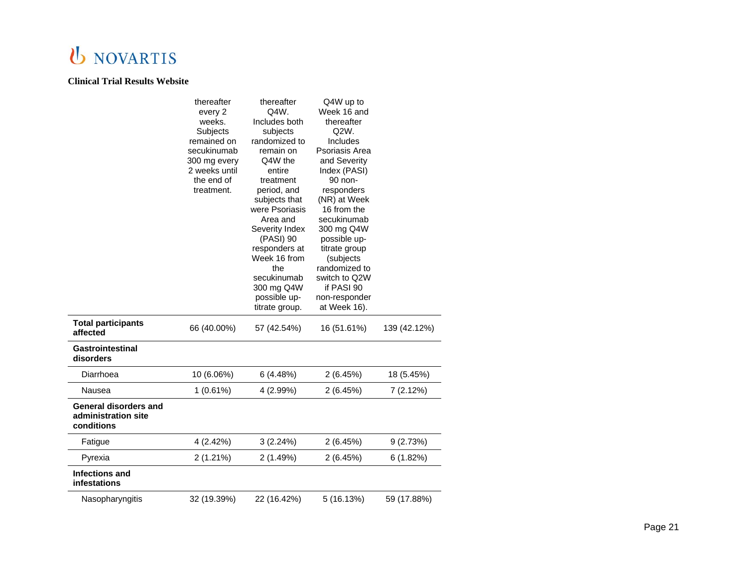|                                                                   | thereafter<br>every 2<br>weeks.<br>Subjects<br>remained on<br>secukinumab<br>300 mg every<br>2 weeks until<br>the end of<br>treatment. | thereafter<br>Q4W.<br>Includes both<br>subjects<br>randomized to<br>remain on<br>Q4W the<br>entire<br>treatment<br>period, and<br>subjects that<br>were Psoriasis<br>Area and<br>Severity Index<br>(PASI) 90<br>responders at<br>Week 16 from<br>the<br>secukinumab<br>300 mg Q4W<br>possible up-<br>titrate group. | Q4W up to<br>Week 16 and<br>thereafter<br>Q2W.<br>Includes<br>Psoriasis Area<br>and Severity<br>Index (PASI)<br>90 non-<br>responders<br>(NR) at Week<br>16 from the<br>secukinumab<br>300 mg Q4W<br>possible up-<br>titrate group<br>(subjects<br>randomized to<br>switch to Q2W<br>if PASI 90<br>non-responder<br>at Week 16). |              |
|-------------------------------------------------------------------|----------------------------------------------------------------------------------------------------------------------------------------|---------------------------------------------------------------------------------------------------------------------------------------------------------------------------------------------------------------------------------------------------------------------------------------------------------------------|----------------------------------------------------------------------------------------------------------------------------------------------------------------------------------------------------------------------------------------------------------------------------------------------------------------------------------|--------------|
| <b>Total participants</b><br>affected                             | 66 (40.00%)                                                                                                                            | 57 (42.54%)                                                                                                                                                                                                                                                                                                         | 16 (51.61%)                                                                                                                                                                                                                                                                                                                      | 139 (42.12%) |
| Gastrointestinal<br>disorders                                     |                                                                                                                                        |                                                                                                                                                                                                                                                                                                                     |                                                                                                                                                                                                                                                                                                                                  |              |
| Diarrhoea                                                         | 10 (6.06%)                                                                                                                             | 6(4.48%)                                                                                                                                                                                                                                                                                                            | 2(6.45%)                                                                                                                                                                                                                                                                                                                         | 18 (5.45%)   |
| Nausea                                                            | 1(0.61%)                                                                                                                               | 4 (2.99%)                                                                                                                                                                                                                                                                                                           | 2(6.45%)                                                                                                                                                                                                                                                                                                                         | 7 (2.12%)    |
| <b>General disorders and</b><br>administration site<br>conditions |                                                                                                                                        |                                                                                                                                                                                                                                                                                                                     |                                                                                                                                                                                                                                                                                                                                  |              |
| Fatigue                                                           | 4 (2.42%)                                                                                                                              | 3(2.24%)                                                                                                                                                                                                                                                                                                            | 2(6.45%)                                                                                                                                                                                                                                                                                                                         | 9(2.73%)     |
| Pyrexia                                                           | 2(1.21%)                                                                                                                               | 2(1.49%)                                                                                                                                                                                                                                                                                                            | 2(6.45%)                                                                                                                                                                                                                                                                                                                         | 6(1.82%)     |
| <b>Infections and</b><br>infestations                             |                                                                                                                                        |                                                                                                                                                                                                                                                                                                                     |                                                                                                                                                                                                                                                                                                                                  |              |
| Nasopharyngitis                                                   | 32 (19.39%)                                                                                                                            | 22 (16.42%)                                                                                                                                                                                                                                                                                                         | 5(16.13%)                                                                                                                                                                                                                                                                                                                        | 59 (17.88%)  |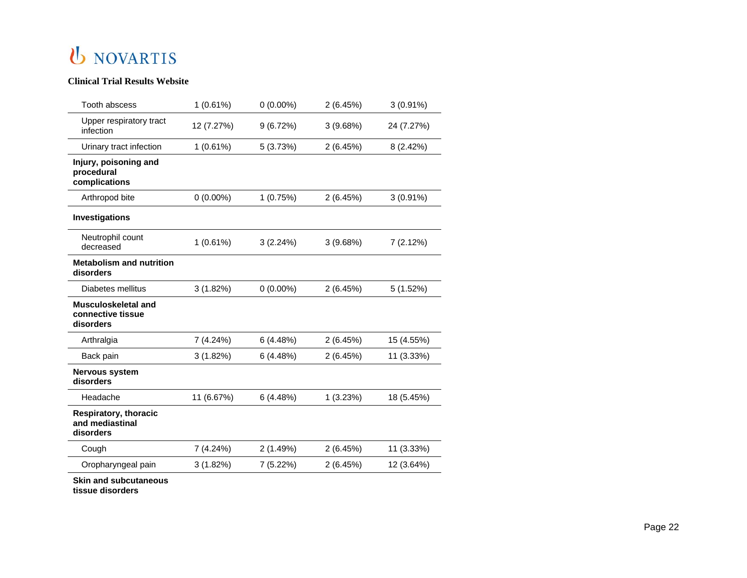#### **Clinical Trial Results Website**

| Tooth abscess                                                | 1(0.61%)    | $0(0.00\%)$ | 2(6.45%) | $3(0.91\%)$ |
|--------------------------------------------------------------|-------------|-------------|----------|-------------|
| Upper respiratory tract<br>infection                         | 12 (7.27%)  | 9(6.72%)    | 3(9.68%) | 24 (7.27%)  |
| Urinary tract infection                                      | 1(0.61%)    | 5(3.73%)    | 2(6.45%) | 8 (2.42%)   |
| Injury, poisoning and<br>procedural<br>complications         |             |             |          |             |
| Arthropod bite                                               | $0(0.00\%)$ | 1(0.75%)    | 2(6.45%) | $3(0.91\%)$ |
| Investigations                                               |             |             |          |             |
| Neutrophil count<br>decreased                                | 1(0.61%)    | 3(2.24%)    | 3(9.68%) | 7(2.12%)    |
| <b>Metabolism and nutrition</b><br>disorders                 |             |             |          |             |
| Diabetes mellitus                                            | 3(1.82%)    | $0(0.00\%)$ | 2(6.45%) | 5(1.52%)    |
| Musculoskeletal and<br>connective tissue<br>disorders        |             |             |          |             |
| Arthralgia                                                   | 7 (4.24%)   | 6(4.48%)    | 2(6.45%) | 15 (4.55%)  |
| Back pain                                                    | 3(1.82%)    | 6(4.48%)    | 2(6.45%) | 11 (3.33%)  |
| Nervous system<br>disorders                                  |             |             |          |             |
| Headache                                                     | 11 (6.67%)  | 6(4.48%)    | 1(3.23%) | 18 (5.45%)  |
| <b>Respiratory, thoracic</b><br>and mediastinal<br>disorders |             |             |          |             |
| Cough                                                        | 7(4.24%)    | 2(1.49%)    | 2(6.45%) | 11 (3.33%)  |
| Oropharyngeal pain                                           | 3(1.82%)    | 7(5.22%)    | 2(6.45%) | 12 (3.64%)  |
| <b>Skin and subcutaneous</b>                                 |             |             |          |             |

**tissue disorders**